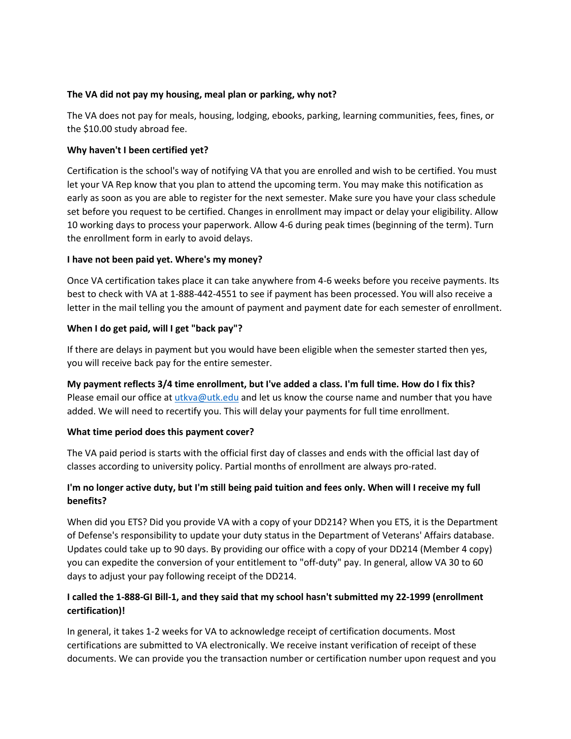## **The VA did not pay my housing, meal plan or parking, why not?**

The VA does not pay for meals, housing, lodging, ebooks, parking, learning communities, fees, fines, or the \$10.00 study abroad fee.

#### **Why haven't I been certified yet?**

[Certification](https://ws.edu/student-services/veterans-affairs/certifying/default.shtm) is the school's way of notifying VA that you are enrolled and wish to be certified. You must let your VA Rep know that you plan to attend the upcoming term. You may make this notification as early as soon as you are able to register for the next semester. Make sure you have your class schedule set before you request to be certified. Changes in enrollment may impact or delay your eligibility. Allow 10 working days to process your paperwork. Allow 4-6 during peak times (beginning of the term). Turn the enrollment form in early to avoid delays.

## **I have not been paid yet. Where's my money?**

Once VA certification takes place it can take anywhere from 4-6 weeks before you receive payments. Its best to check with VA at 1-888-442-4551 to see if payment has been processed. You will also receive a letter in the mail telling you the amount of payment and payment date for each semester of enrollment.

## **When I do get paid, will I get "back pay"?**

If there are delays in payment but you would have been eligible when the semester started then yes, you will receive back pay for the entire semester.

**My payment reflects 3/4 time enrollment, but I've added a class. I'm full time. How do I fix this?** Please email our office at [utkva@utk.edu](mailto:utkva@utk.edu) and let us know the course name and number that you have added. We will need to recertify you. This will delay your payments for full time enrollment.

#### **What time period does this payment cover?**

The VA paid period is starts with the official first day of classes and ends with the official last day of classes according to university policy. Partial months of enrollment are always pro-rated.

# **I'm no longer active duty, but I'm still being paid tuition and fees only. When will I receive my full benefits?**

When did you ETS? Did you provide VA with a copy of your DD214? When you ETS, it is the Department of Defense's responsibility to update your duty status in the Department of Veterans' Affairs database. Updates could take up to 90 days. By providing our office with a copy of your DD214 (Member 4 copy) you can expedite the conversion of your entitlement to "off-duty" pay. In general, allow VA 30 to 60 days to adjust your pay following receipt of the DD214.

# **I called the 1-888-GI Bill-1, and they said that my school hasn't submitted my 22-1999 (enrollment certification)!**

In general, it takes 1-2 weeks for VA to acknowledge receipt of certification documents. Most certifications are submitted to VA electronically. We receive instant verification of receipt of these documents. We can provide you the transaction number or certification number upon request and you